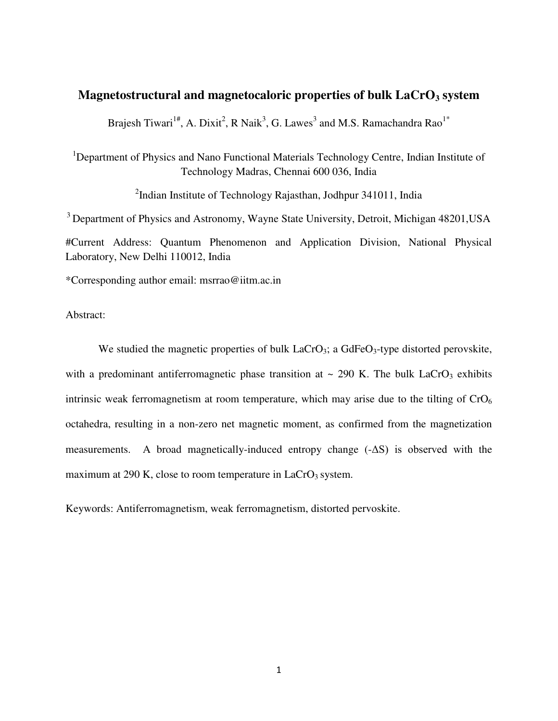# **Magnetostructural and magnetocaloric properties of bulk LaCrO3 system**

Brajesh Tiwari<sup>1#</sup>, A. Dixit<sup>2</sup>, R Naik<sup>3</sup>, G. Lawes<sup>3</sup> and M.S. Ramachandra Rao<sup>1\*</sup>

<sup>1</sup>Department of Physics and Nano Functional Materials Technology Centre, Indian Institute of Technology Madras, Chennai 600 036, India

<sup>2</sup>Indian Institute of Technology Rajasthan, Jodhpur 341011, India

<sup>3</sup> Department of Physics and Astronomy, Wayne State University, Detroit, Michigan 48201, USA #Current Address: Quantum Phenomenon and Application Division, National Physical Laboratory, New Delhi 110012, India

\*Corresponding author email: [msrrao@iitm.ac.in](mailto:msrrao@iitm.ac.in) 

Abstract:

We studied the magnetic properties of bulk  $LaCrO<sub>3</sub>$ ; a GdFe $O<sub>3</sub>$ -type distorted perovskite, with a predominant antiferromagnetic phase transition at  $\sim$  290 K. The bulk LaCrO<sub>3</sub> exhibits intrinsic weak ferromagnetism at room temperature, which may arise due to the tilting of  $CrO<sub>6</sub>$ octahedra, resulting in a non-zero net magnetic moment, as confirmed from the magnetization measurements. A broad magnetically-induced entropy change  $(-\Delta S)$  is observed with the maximum at 290 K, close to room temperature in  $LaCrO<sub>3</sub>$  system.

Keywords: Antiferromagnetism, weak ferromagnetism, distorted pervoskite.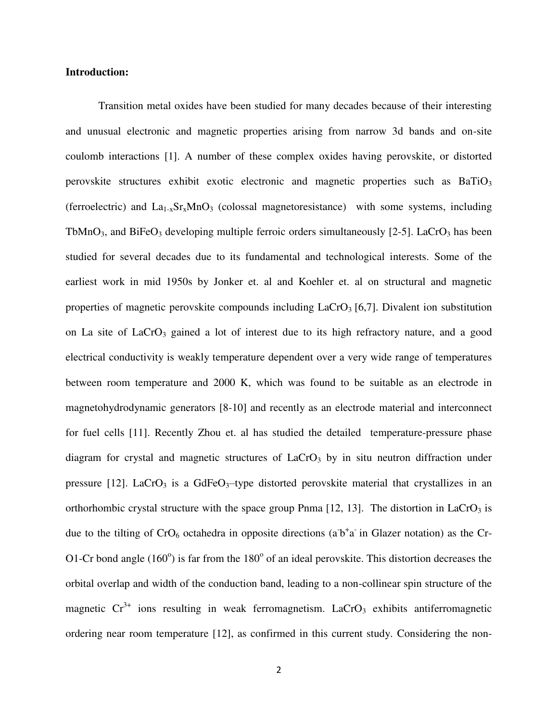### **Introduction:**

Transition metal oxides have been studied for many decades because of their interesting and unusual electronic and magnetic properties arising from narrow 3d bands and on-site coulomb interactions [1]. A number of these complex oxides having perovskite, or distorted perovskite structures exhibit exotic electronic and magnetic properties such as  $BaTiO<sub>3</sub>$ (ferroelectric) and  $La_{1-x}Sr_xMnO_3$  (colossal magnetoresistance) with some systems, including TbMnO<sub>3</sub>, and BiFeO<sub>3</sub> developing multiple ferroic orders simultaneously  $[2-5]$ . LaCrO<sub>3</sub> has been studied for several decades due to its fundamental and technological interests. Some of the earliest work in mid 1950s by Jonker et. al and Koehler et. al on structural and magnetic properties of magnetic perovskite compounds including  $LaCrO<sub>3</sub>$  [6,7]. Divalent ion substitution on La site of LaCrO<sub>3</sub> gained a lot of interest due to its high refractory nature, and a good electrical conductivity is weakly temperature dependent over a very wide range of temperatures between room temperature and 2000 K, which was found to be suitable as an electrode in magnetohydrodynamic generators [8-10] and recently as an electrode material and interconnect for fuel cells [11]. Recently Zhou et. al has studied the detailed temperature-pressure phase diagram for crystal and magnetic structures of  $LaCrO<sub>3</sub>$  by in situ neutron diffraction under pressure [12]. LaCrO<sub>3</sub> is a GdFeO<sub>3</sub>-type distorted perovskite material that crystallizes in an orthorhombic crystal structure with the space group Pnma  $[12, 13]$ . The distortion in LaCrO<sub>3</sub> is due to the tilting of  $CrO_6$  octahedra in opposite directions (a<sup>-b+</sup>a<sup>-</sup> in Glazer notation) as the Cr-O1-Cr bond angle  $(160^{\circ})$  is far from the  $180^{\circ}$  of an ideal perovskite. This distortion decreases the orbital overlap and width of the conduction band, leading to a non-collinear spin structure of the magnetic  $Cr^{3+}$  ions resulting in weak ferromagnetism. LaCrO<sub>3</sub> exhibits antiferromagnetic ordering near room temperature [12], as confirmed in this current study. Considering the non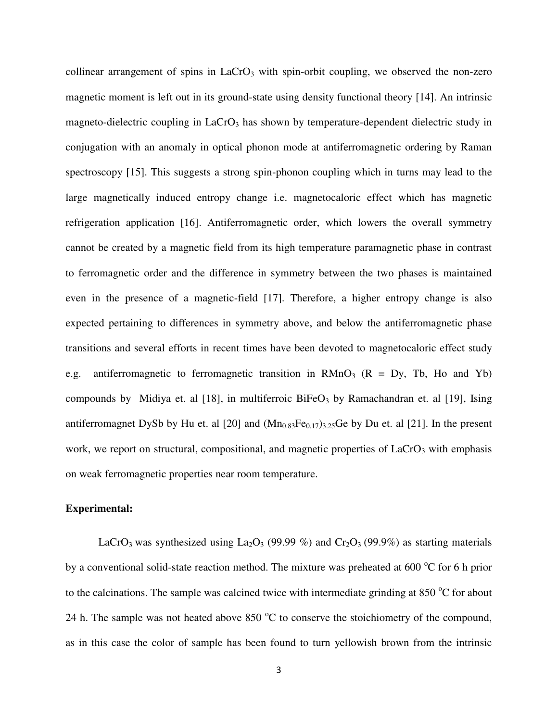collinear arrangement of spins in  $LaCrO<sub>3</sub>$  with spin-orbit coupling, we observed the non-zero magnetic moment is left out in its ground-state using density functional theory [14]. An intrinsic magneto-dielectric coupling in  $LaCrO<sub>3</sub>$  has shown by temperature-dependent dielectric study in conjugation with an anomaly in optical phonon mode at antiferromagnetic ordering by Raman spectroscopy [15]. This suggests a strong spin-phonon coupling which in turns may lead to the large magnetically induced entropy change i.e. magnetocaloric effect which has magnetic refrigeration application [16]. Antiferromagnetic order, which lowers the overall symmetry cannot be created by a magnetic field from its high temperature paramagnetic phase in contrast to ferromagnetic order and the difference in symmetry between the two phases is maintained even in the presence of a magnetic-field [17]. Therefore, a higher entropy change is also expected pertaining to differences in symmetry above, and below the antiferromagnetic phase transitions and several efforts in recent times have been devoted to magnetocaloric effect study e.g. antiferromagnetic to ferromagnetic transition in  $RMnO<sub>3</sub>$  ( $R = Dy$ , Tb, Ho and Yb) compounds by Midiya et. al [18], in multiferroic  $BiFeO<sub>3</sub>$  by Ramachandran et. al [19], Ising antiferromagnet DySb by Hu et. al [20] and  $(Mn_{0.83}Fe_{0.17})_{3.25}Ge$  by Du et. al [21]. In the present work, we report on structural, compositional, and magnetic properties of  $LaCrO<sub>3</sub>$  with emphasis on weak ferromagnetic properties near room temperature.

# **Experimental:**

LaCrO<sub>3</sub> was synthesized using La<sub>2</sub>O<sub>3</sub> (99.99 %) and Cr<sub>2</sub>O<sub>3</sub> (99.9%) as starting materials by a conventional solid-state reaction method. The mixture was preheated at 600  $^{\circ}$ C for 6 h prior to the calcinations. The sample was calcined twice with intermediate grinding at  $850^{\circ}$ C for about 24 h. The sample was not heated above  $850\text{ °C}$  to conserve the stoichiometry of the compound, as in this case the color of sample has been found to turn yellowish brown from the intrinsic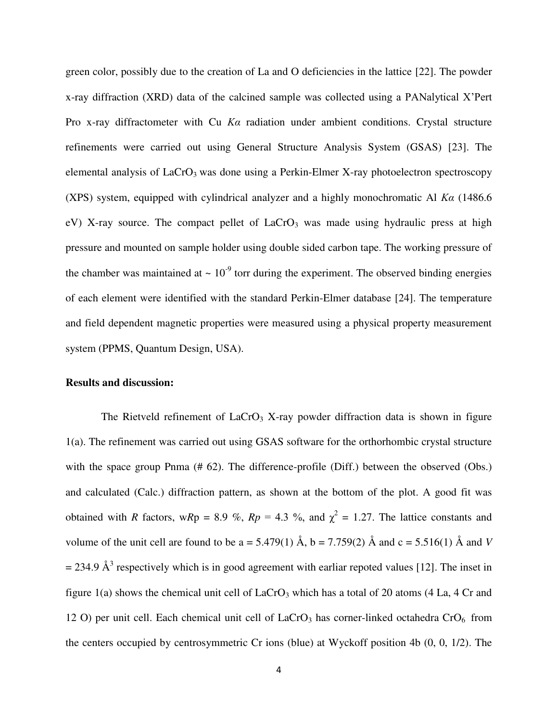green color, possibly due to the creation of La and O deficiencies in the lattice [22]. The powder x-ray diffraction (XRD) data of the calcined sample was collected using a PANalytical X'Pert Pro x-ray diffractometer with Cu *Kα* radiation under ambient conditions. Crystal structure refinements were carried out using General Structure Analysis System (GSAS) [23]. The elemental analysis of  $LaCrO<sub>3</sub>$  was done using a Perkin-Elmer X-ray photoelectron spectroscopy (XPS) system, equipped with cylindrical analyzer and a highly monochromatic Al *Kα* (1486.6 eV) X-ray source. The compact pellet of  $LaCrO<sub>3</sub>$  was made using hydraulic press at high pressure and mounted on sample holder using double sided carbon tape. The working pressure of the chamber was maintained at  $\sim 10^{-9}$  torr during the experiment. The observed binding energies of each element were identified with the standard Perkin-Elmer database [24]. The temperature and field dependent magnetic properties were measured using a physical property measurement system (PPMS, Quantum Design, USA).

#### **Results and discussion:**

The Rietveld refinement of  $LaCrO<sub>3</sub>$  X-ray powder diffraction data is shown in figure 1(a). The refinement was carried out using GSAS software for the orthorhombic crystal structure with the space group Pnma (# 62). The difference-profile (Diff.) between the observed (Obs.) and calculated (Calc.) diffraction pattern, as shown at the bottom of the plot. A good fit was obtained with *R* factors, w*R*p = 8.9 %,  $Rp = 4.3$  %, and  $\chi^2 = 1.27$ . The lattice constants and volume of the unit cell are found to be a = 5.479(1)  $\AA$ , b = 7.759(2)  $\AA$  and c = 5.516(1)  $\AA$  and *V*  $= 234.9 \text{ Å}^3$  respectively which is in good agreement with earliar repoted values [12]. The inset in figure 1(a) shows the chemical unit cell of  $LaCrO<sub>3</sub>$  which has a total of 20 atoms (4 La, 4 Cr and 12 O) per unit cell. Each chemical unit cell of  $LaCrO<sub>3</sub>$  has corner-linked octahedra  $CrO<sub>6</sub>$  from the centers occupied by centrosymmetric Cr ions (blue) at Wyckoff position 4b (0, 0, 1/2). The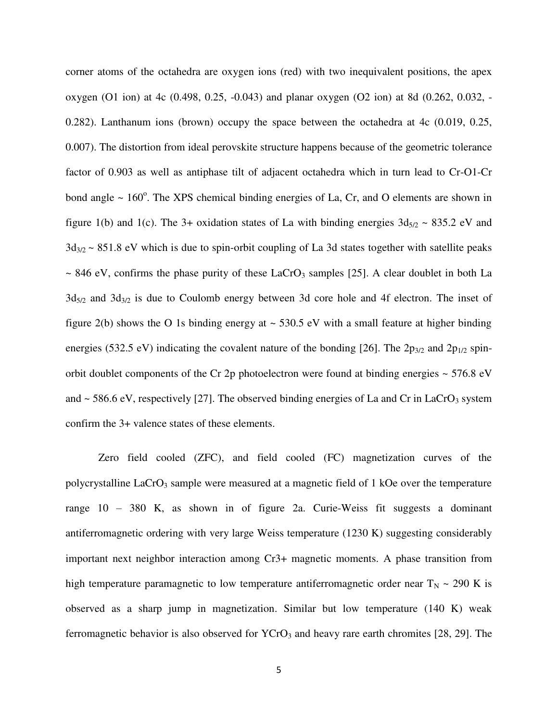corner atoms of the octahedra are oxygen ions (red) with two inequivalent positions, the apex oxygen (O1 ion) at 4c (0.498, 0.25, -0.043) and planar oxygen (O2 ion) at 8d (0.262, 0.032, - 0.282). Lanthanum ions (brown) occupy the space between the octahedra at 4c (0.019, 0.25, 0.007). The distortion from ideal perovskite structure happens because of the geometric tolerance factor of 0.903 as well as antiphase tilt of adjacent octahedra which in turn lead to Cr-O1-Cr bond angle  $\sim 160^\circ$ . The XPS chemical binding energies of La, Cr, and O elements are shown in figure 1(b) and 1(c). The 3+ oxidation states of La with binding energies  $3d_{5/2} \sim 835.2$  eV and  $3d_{3/2}$  ~ 851.8 eV which is due to spin-orbit coupling of La 3d states together with satellite peaks  $\sim$  846 eV, confirms the phase purity of these LaCrO<sub>3</sub> samples [25]. A clear doublet in both La  $3d_{5/2}$  and  $3d_{3/2}$  is due to Coulomb energy between 3d core hole and 4f electron. The inset of figure 2(b) shows the O 1s binding energy at  $\sim$  530.5 eV with a small feature at higher binding energies (532.5 eV) indicating the covalent nature of the bonding [26]. The  $2p_{3/2}$  and  $2p_{1/2}$  spinorbit doublet components of the Cr 2p photoelectron were found at binding energies  $\sim$  576.8 eV and  $\sim$  586.6 eV, respectively [27]. The observed binding energies of La and Cr in LaCrO<sub>3</sub> system confirm the 3+ valence states of these elements.

Zero field cooled (ZFC), and field cooled (FC) magnetization curves of the polycrystalline  $LaCrO<sub>3</sub>$  sample were measured at a magnetic field of 1 kOe over the temperature range 10 – 380 K, as shown in of figure 2a. Curie-Weiss fit suggests a dominant antiferromagnetic ordering with very large Weiss temperature (1230 K) suggesting considerably important next neighbor interaction among Cr3+ magnetic moments. A phase transition from high temperature paramagnetic to low temperature antiferromagnetic order near  $T_N \sim 290$  K is observed as a sharp jump in magnetization. Similar but low temperature (140 K) weak ferromagnetic behavior is also observed for  $YCrO<sub>3</sub>$  and heavy rare earth chromites [28, 29]. The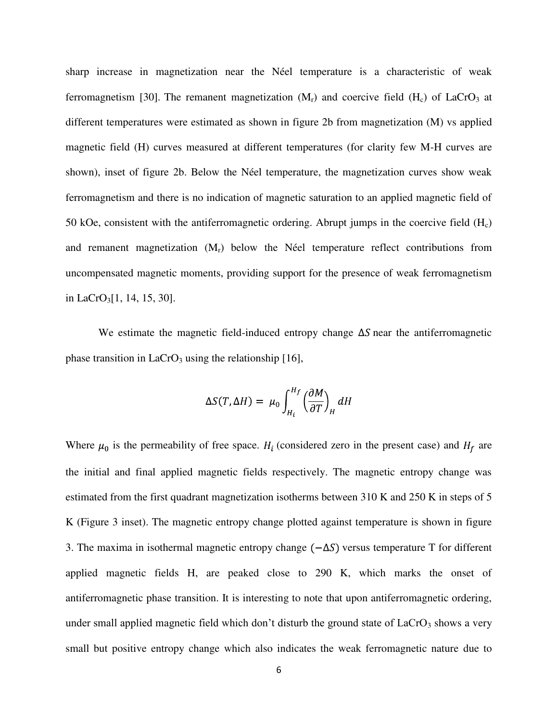sharp increase in magnetization near the Néel temperature is a characteristic of weak ferromagnetism [30]. The remanent magnetization  $(M_r)$  and coercive field  $(H_c)$  of LaCrO<sub>3</sub> at different temperatures were estimated as shown in figure 2b from magnetization (M) vs applied magnetic field (H) curves measured at different temperatures (for clarity few M-H curves are shown), inset of figure 2b. Below the Néel temperature, the magnetization curves show weak ferromagnetism and there is no indication of magnetic saturation to an applied magnetic field of 50 kOe, consistent with the antiferromagnetic ordering. Abrupt jumps in the coercive field  $(H_c)$ and remanent magnetization  $(M_r)$  below the Néel temperature reflect contributions from uncompensated magnetic moments, providing support for the presence of weak ferromagnetism in LaCrO3[1, 14, 15, 30].

We estimate the magnetic field-induced entropy change  $\Delta S$  near the antiferromagnetic phase transition in  $LaCrO<sub>3</sub>$  using the relationship [16],

$$
\Delta S(T, \Delta H) = \mu_0 \int_{H_i}^{H_f} \left(\frac{\partial M}{\partial T}\right)_H dH
$$

Where  $\mu_0$  is the permeability of free space.  $H_i$  (considered zero in the present case) and  $H_f$  are the initial and final applied magnetic fields respectively. The magnetic entropy change was estimated from the first quadrant magnetization isotherms between 310 K and 250 K in steps of 5 K (Figure 3 inset). The magnetic entropy change plotted against temperature is shown in figure 3. The maxima in isothermal magnetic entropy change  $(-\Delta S)$  versus temperature T for different applied magnetic fields H, are peaked close to 290 K, which marks the onset of antiferromagnetic phase transition. It is interesting to note that upon antiferromagnetic ordering, under small applied magnetic field which don't disturb the ground state of  $LaCrO<sub>3</sub>$  shows a very small but positive entropy change which also indicates the weak ferromagnetic nature due to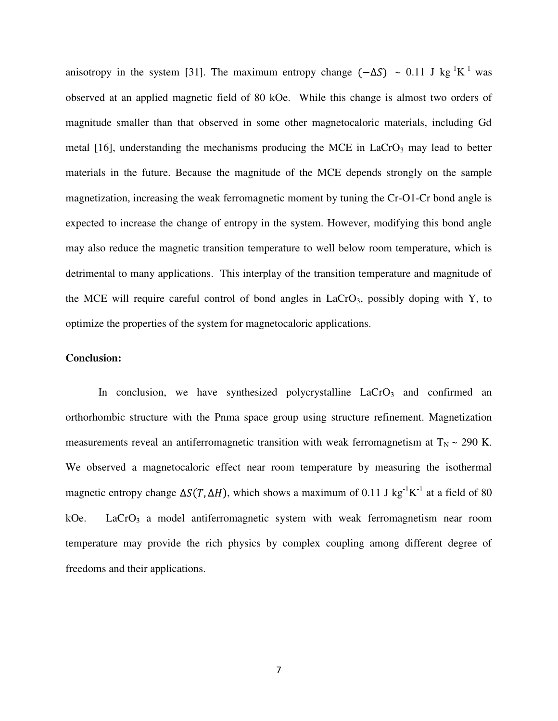anisotropy in the system [31]. The maximum entropy change  $(-\Delta S) \sim 0.11$  J kg<sup>-1</sup>K<sup>-1</sup> was observed at an applied magnetic field of 80 kOe. While this change is almost two orders of magnitude smaller than that observed in some other magnetocaloric materials, including Gd metal  $[16]$ , understanding the mechanisms producing the MCE in LaCrO<sub>3</sub> may lead to better materials in the future. Because the magnitude of the MCE depends strongly on the sample magnetization, increasing the weak ferromagnetic moment by tuning the Cr-O1-Cr bond angle is expected to increase the change of entropy in the system. However, modifying this bond angle may also reduce the magnetic transition temperature to well below room temperature, which is detrimental to many applications. This interplay of the transition temperature and magnitude of the MCE will require careful control of bond angles in  $LaCrO<sub>3</sub>$ , possibly doping with Y, to optimize the properties of the system for magnetocaloric applications.

### **Conclusion:**

In conclusion, we have synthesized polycrystalline  $LaCrO<sub>3</sub>$  and confirmed an orthorhombic structure with the Pnma space group using structure refinement. Magnetization measurements reveal an antiferromagnetic transition with weak ferromagnetism at  $T_N \sim 290$  K. We observed a magnetocaloric effect near room temperature by measuring the isothermal magnetic entropy change  $\Delta S(T, \Delta H)$ , which shows a maximum of 0.11 J kg<sup>-1</sup>K<sup>-1</sup> at a field of 80 kOe. LaCrO<sub>3</sub> a model antiferromagnetic system with weak ferromagnetism near room temperature may provide the rich physics by complex coupling among different degree of freedoms and their applications.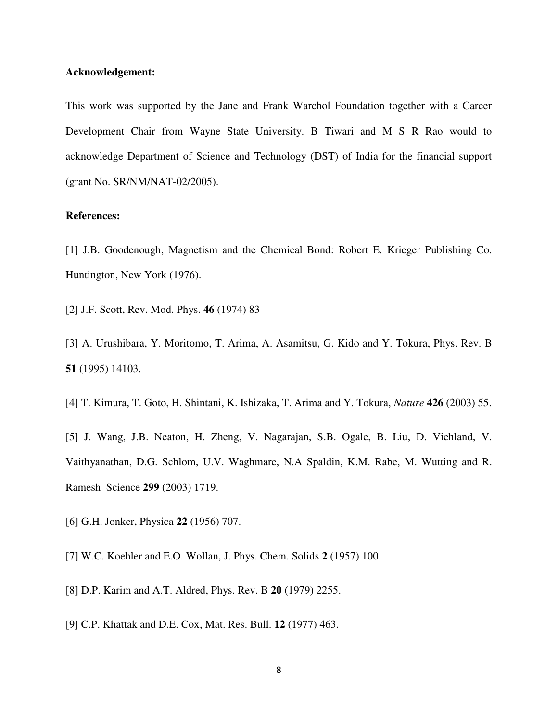# **Acknowledgement:**

This work was supported by the Jane and Frank Warchol Foundation together with a Career Development Chair from Wayne State University. B Tiwari and M S R Rao would to acknowledge Department of Science and Technology (DST) of India for the financial support (grant No. SR/NM/NAT-02/2005).

# **References:**

[1] J.B. Goodenough, Magnetism and the Chemical Bond: Robert E. Krieger Publishing Co. Huntington, New York (1976).

[2] J.F. Scott, Rev. Mod. Phys. **46** (1974) 83

- [3] A. Urushibara, Y. Moritomo, T. Arima, A. Asamitsu, G. Kido and Y. Tokura, Phys. Rev. B **51** (1995) 14103.
- [4] T. Kimura, T. Goto, H. Shintani, K. Ishizaka, T. Arima and Y. Tokura, *Nature* **426** (2003) 55.

[5] J. Wang, J.B. Neaton, H. Zheng, V. Nagarajan, S.B. Ogale, B. Liu, D. Viehland, V. Vaithyanathan, D.G. Schlom, U.V. Waghmare, N.A Spaldin, K.M. Rabe, M. Wutting and R. Ramesh Science **299** (2003) 1719.

- [6] G.H. Jonker, Physica **22** (1956) 707.
- [7] W.C. Koehler and E.O. Wollan, J. Phys. Chem. Solids **2** (1957) 100.
- [8] D.P. Karim and A.T. Aldred, Phys. Rev. B **20** (1979) 2255.
- [9] C.P. Khattak and D.E. Cox, Mat. Res. Bull. **12** (1977) 463.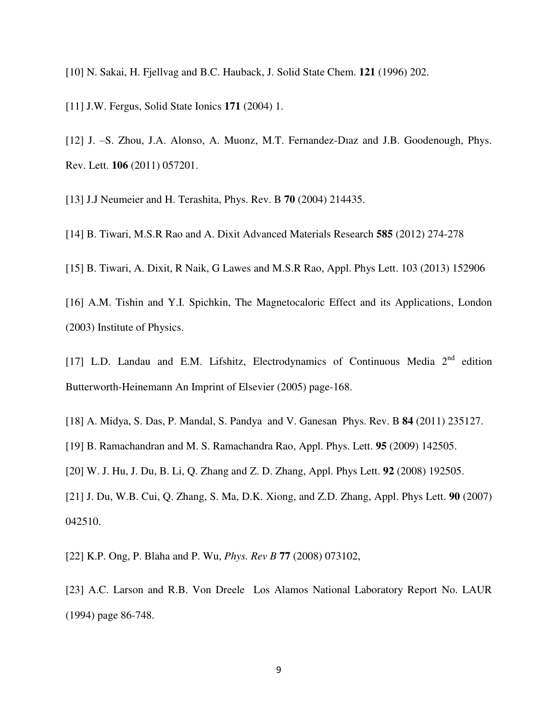[10] N. Sakai, H. Fjellvag and B.C. Hauback, J. Solid State Chem. **121** (1996) 202.

[11] J.W. Fergus, Solid State Ionics **171** (2004) 1.

[12] J. –S. Zhou, J.A. Alonso, A. Muonz, M.T. Fernandez-Diaz and J.B. Goodenough, Phys. Rev. Lett. **106** (2011) 057201.

[13] J.J Neumeier and H. Terashita, Phys. Rev. B **70** (2004) 214435.

[14] B. Tiwari, M.S.R Rao and A. Dixit Advanced Materials Research **585** (2012) 274-278

[15] B. Tiwari, A. Dixit, R Naik, G Lawes and M.S.R Rao, Appl. Phys Lett. 103 (2013) 152906

[16] A.M. Tishin and Y.I. Spichkin, The Magnetocaloric Effect and its Applications, London (2003) Institute of Physics.

[17] L.D. Landau and E.M. Lifshitz, Electrodynamics of Continuous Media 2<sup>nd</sup> edition Butterworth-Heinemann An Imprint of Elsevier (2005) page-168.

[18] A. Midya, S. Das, P. Mandal, S. Pandya and V. Ganesan Phys. Rev. B **84** (2011) 235127.

[19] B. Ramachandran and M. S. Ramachandra Rao, Appl. Phys. Lett. **95** (2009) 142505.

[20] W. J. Hu, J. Du, B. Li, Q. Zhang and Z. D. Zhang, Appl. Phys Lett. **92** (2008) 192505.

[21] J. Du, W.B. Cui, Q. Zhang, S. Ma, D.K. Xiong, and Z.D. Zhang, Appl. Phys Lett. **90** (2007) 042510.

[22] K.P. Ong, P. Blaha and P. Wu, *Phys. Rev B* **77** (2008) 073102,

[23] A.C. Larson and R.B. Von Dreele Los Alamos National Laboratory Report No. LAUR (1994) page 86-748.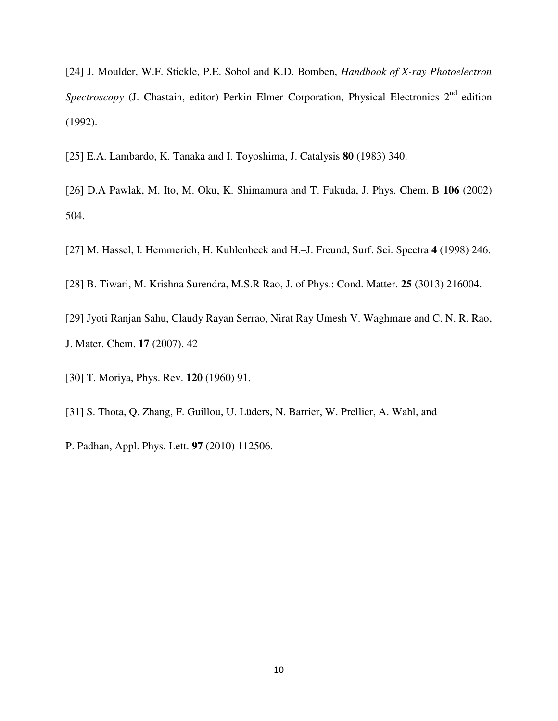[24] J. Moulder, W.F. Stickle, P.E. Sobol and K.D. Bomben, *Handbook of X-ray Photoelectron Spectroscopy* (J. Chastain, editor) Perkin Elmer Corporation, Physical Electronics 2<sup>nd</sup> edition (1992).

[25] E.A. Lambardo, K. Tanaka and I. Toyoshima, J. Catalysis **80** (1983) 340.

[26] D.A Pawlak, M. Ito, M. Oku, K. Shimamura and T. Fukuda, J. Phys. Chem. B **106** (2002) 504.

[27] M. Hassel, I. Hemmerich, H. Kuhlenbeck and H.–J. Freund, Surf. Sci. Spectra **4** (1998) 246.

[28] B. Tiwari, M. Krishna Surendra, M.S.R Rao, J. of Phys.: Cond. Matter. **25** (3013) 216004.

[29] Jyoti Ranjan Sahu, Claudy Rayan Serrao, Nirat Ray Umesh V. Waghmare and C. N. R. Rao, J. Mater. Chem. **17** (2007), 42

[30] T. Moriya, Phys. Rev. **120** (1960) 91.

[31] S. Thota, Q. Zhang, F. Guillou, U. Lüders, N. Barrier, W. Prellier, A. Wahl, and

P. Padhan, Appl. Phys. Lett. **97** (2010) 112506.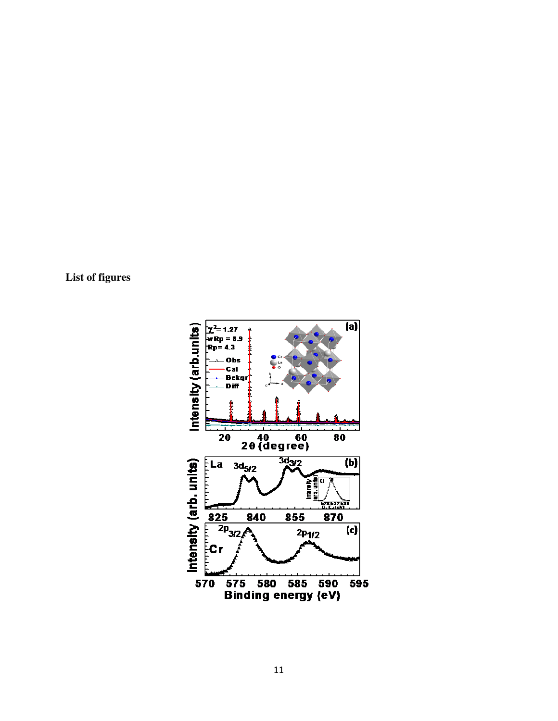**List of figures** 

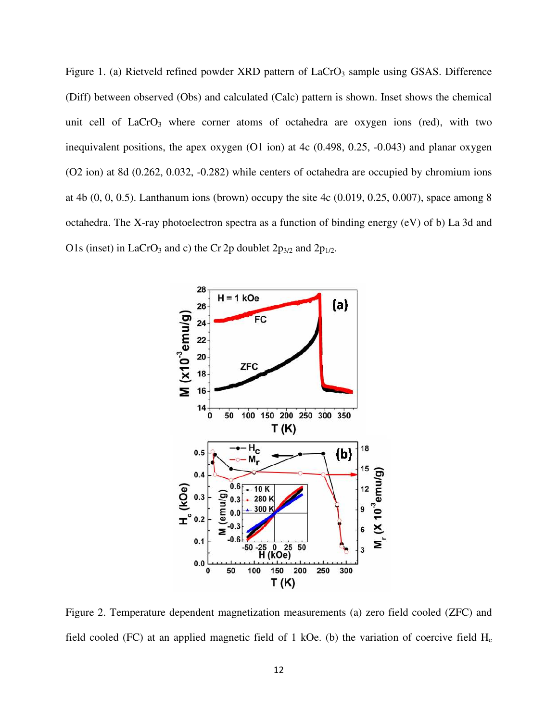Figure 1. (a) Rietveld refined powder XRD pattern of  $LaCrO<sub>3</sub>$  sample using GSAS. Difference (Diff) between observed (Obs) and calculated (Calc) pattern is shown. Inset shows the chemical unit cell of  $LaCrO<sub>3</sub>$  where corner atoms of octahedra are oxygen ions (red), with two inequivalent positions, the apex oxygen (O1 ion) at 4c (0.498, 0.25, -0.043) and planar oxygen (O2 ion) at 8d (0.262, 0.032, -0.282) while centers of octahedra are occupied by chromium ions at 4b (0, 0, 0.5). Lanthanum ions (brown) occupy the site 4c (0.019, 0.25, 0.007), space among 8 octahedra. The X-ray photoelectron spectra as a function of binding energy (eV) of b) La 3d and O1s (inset) in LaCrO<sub>3</sub> and c) the Cr 2p doublet  $2p_{3/2}$  and  $2p_{1/2}$ .



Figure 2. Temperature dependent magnetization measurements (a) zero field cooled (ZFC) and field cooled (FC) at an applied magnetic field of 1 kOe. (b) the variation of coercive field  $H_c$